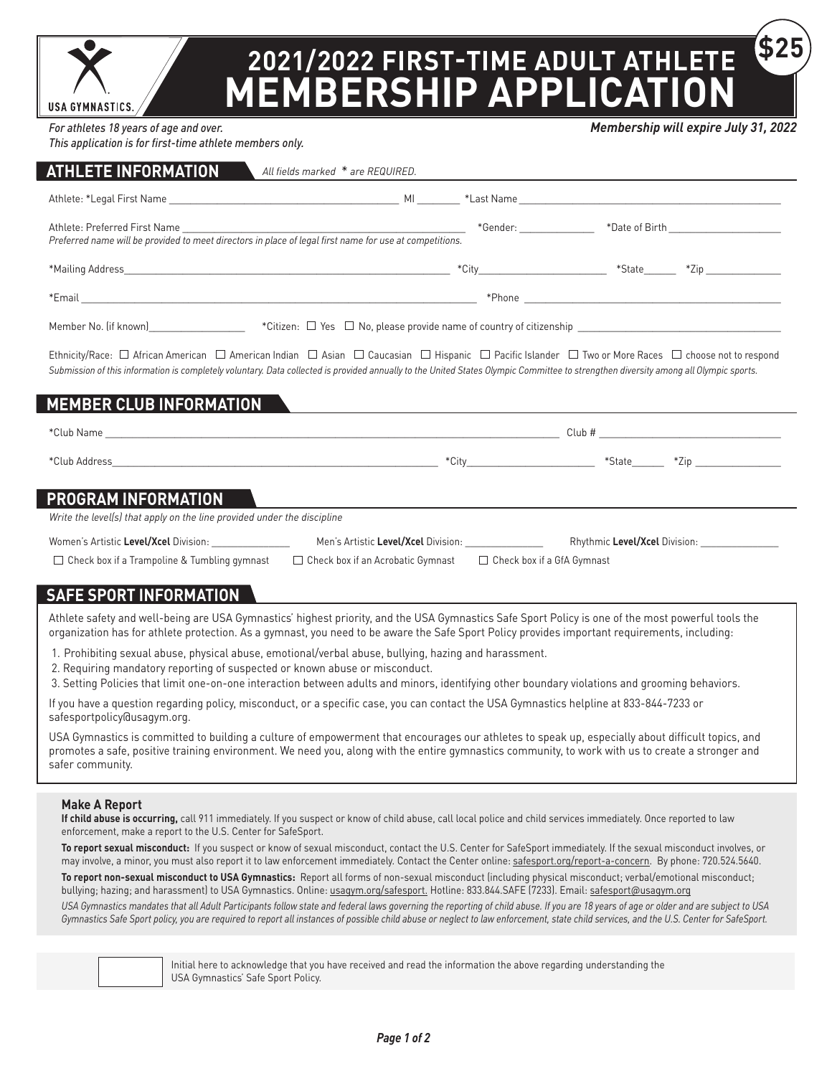**USA GYMNASTICS** 

## **2021/2022 FIRST-TIME ADULT ATHLETE MEMBERSHIP APPLICATION \$25**

*For athletes 18 years of age and over.* 

*This application is for first-time athlete members only.*

| Preferred name will be provided to meet directors in place of legal first name for use at competitions. |                                                                                                                                                                                                                                                                                                                                                                                                        |                                                                                  |
|---------------------------------------------------------------------------------------------------------|--------------------------------------------------------------------------------------------------------------------------------------------------------------------------------------------------------------------------------------------------------------------------------------------------------------------------------------------------------------------------------------------------------|----------------------------------------------------------------------------------|
|                                                                                                         |                                                                                                                                                                                                                                                                                                                                                                                                        |                                                                                  |
|                                                                                                         |                                                                                                                                                                                                                                                                                                                                                                                                        |                                                                                  |
|                                                                                                         |                                                                                                                                                                                                                                                                                                                                                                                                        |                                                                                  |
| <b>MEMBER CLUB INFORMATION</b>                                                                          | Ethnicity/Race: □ African American □ American Indian □ Asian □ Caucasian □ Hispanic □ Pacific Islander □ Two or More Races □ choose not to respond<br>Submission of this information is completely voluntary. Data collected is provided annually to the United States Olympic Committee to strengthen diversity among all Olympic sports.<br><u> 1986 - Jan Stein Stein, fransk politik (f. 1986)</u> |                                                                                  |
|                                                                                                         |                                                                                                                                                                                                                                                                                                                                                                                                        |                                                                                  |
|                                                                                                         |                                                                                                                                                                                                                                                                                                                                                                                                        | *City___________________________________ *State_________ *Zip __________________ |
| <b>PROGRAM INFORMATION</b><br>Write the level(s) that apply on the line provided under the discipline   |                                                                                                                                                                                                                                                                                                                                                                                                        |                                                                                  |
| Women's Artistic Level/Xcel Division:                                                                   | Men's Artistic Level/Xcel Division:                                                                                                                                                                                                                                                                                                                                                                    | Rhythmic Level/Xcel Division:                                                    |

 $\Box$  Check box if a Trampoline & Tumbling gymnast  $\Box$  Check box if an Acrobatic Gymnast  $\Box$  Check box if a GfA Gymnast

### **SAFE SPORT INFORMATION**

Athlete safety and well-being are USA Gymnastics' highest priority, and the USA Gymnastics Safe Sport Policy is one of the most powerful tools the organization has for athlete protection. As a gymnast, you need to be aware the Safe Sport Policy provides important requirements, including:

1. Prohibiting sexual abuse, physical abuse, emotional/verbal abuse, bullying, hazing and harassment.

2. Requiring mandatory reporting of suspected or known abuse or misconduct.

3. Setting Policies that limit one-on-one interaction between adults and minors, identifying other boundary violations and grooming behaviors.

If you have a question regarding policy, misconduct, or a specific case, you can contact the USA Gymnastics helpline at 833-844-7233 or safesportpolicy@usagym.org.

USA Gymnastics is committed to building a culture of empowerment that encourages our athletes to speak up, especially about difficult topics, and promotes a safe, positive training environment. We need you, along with the entire gymnastics community, to work with us to create a stronger and safer community.

#### **Make A Report**

**If child abuse is occurring,** call 911 immediately. If you suspect or know of child abuse, call local police and child services immediately. Once reported to law enforcement, make a report to the U.S. Center for SafeSport.

**To report sexual misconduct:** If you suspect or know of sexual misconduct, contact the U.S. Center for SafeSport immediately. If the sexual misconduct involves, or may involve, a minor, you must also report it to law enforcement immediately. Contact the Center online: [safesport.org/report-a-concern](https://uscenterforsafesport.org/report-a-concern/). By phone: 720.524.5640.

**To report non-sexual misconduct to USA Gymnastics:** Report all forms of non-sexual misconduct (including physical misconduct; verbal/emotional misconduct; bullying; hazing; and harassment) to USA Gymnastics. Online: [usagym.org/safesport.](https://usagym.org/pages/education/safesport/) Hotline: 833.844.SAFE (7233). Email: [safesport@usagym.org](mailto:safesport%40usagym.org?subject=)

*USA Gymnastics mandates that all Adult Participants follow state and federal laws governing the reporting of child abuse. If you are 18 years of age or older and are subject to USA Gymnastics Safe Sport policy, you are required to report all instances of possible child abuse or neglect to law enforcement, state child services, and the U.S. Center for SafeSport.*



Initial here to acknowledge that you have received and read the information the above regarding understanding the USA Gymnastics' Safe Sport Policy.